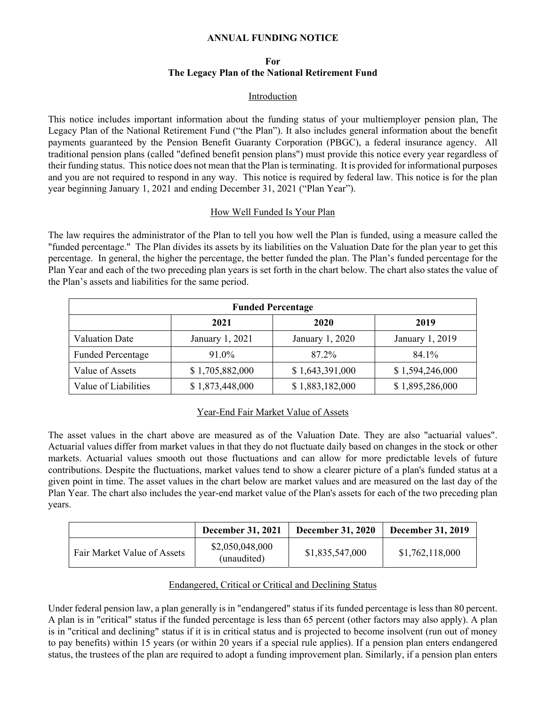### **ANNUAL FUNDING NOTICE**

## **For The Legacy Plan of the National Retirement Fund**

#### Introduction

This notice includes important information about the funding status of your multiemployer pension plan, The Legacy Plan of the National Retirement Fund ("the Plan"). It also includes general information about the benefit payments guaranteed by the Pension Benefit Guaranty Corporation (PBGC), a federal insurance agency. All traditional pension plans (called "defined benefit pension plans") must provide this notice every year regardless of their funding status. This notice does not mean that the Plan is terminating. It is provided for informational purposes and you are not required to respond in any way. This notice is required by federal law. This notice is for the plan year beginning January 1, 2021 and ending December 31, 2021 ("Plan Year").

#### How Well Funded Is Your Plan

The law requires the administrator of the Plan to tell you how well the Plan is funded, using a measure called the "funded percentage." The Plan divides its assets by its liabilities on the Valuation Date for the plan year to get this percentage. In general, the higher the percentage, the better funded the plan. The Plan's funded percentage for the Plan Year and each of the two preceding plan years is set forth in the chart below. The chart also states the value of the Plan's assets and liabilities for the same period.

| <b>Funded Percentage</b> |                 |                 |                 |  |  |
|--------------------------|-----------------|-----------------|-----------------|--|--|
|                          | 2021            | 2020            | 2019            |  |  |
| <b>Valuation Date</b>    | January 1, 2021 | January 1, 2020 | January 1, 2019 |  |  |
| <b>Funded Percentage</b> | 91.0%           | 87.2%           | 84.1%           |  |  |
| Value of Assets          | \$1,705,882,000 | \$1,643,391,000 | \$1,594,246,000 |  |  |
| Value of Liabilities     | \$1,873,448,000 | \$1,883,182,000 | \$1,895,286,000 |  |  |

# Year-End Fair Market Value of Assets

The asset values in the chart above are measured as of the Valuation Date. They are also "actuarial values". Actuarial values differ from market values in that they do not fluctuate daily based on changes in the stock or other markets. Actuarial values smooth out those fluctuations and can allow for more predictable levels of future contributions. Despite the fluctuations, market values tend to show a clearer picture of a plan's funded status at a given point in time. The asset values in the chart below are market values and are measured on the last day of the Plan Year. The chart also includes the year-end market value of the Plan's assets for each of the two preceding plan years.

|                             | <b>December 31, 2021</b>       | <b>December 31, 2020</b> | <b>December 31, 2019</b> |
|-----------------------------|--------------------------------|--------------------------|--------------------------|
| Fair Market Value of Assets | \$2,050,048,000<br>(unaudited) | \$1,835,547,000          | \$1,762,118,000          |

### Endangered, Critical or Critical and Declining Status

Under federal pension law, a plan generally is in "endangered" status if its funded percentage is less than 80 percent. A plan is in "critical" status if the funded percentage is less than 65 percent (other factors may also apply). A plan is in "critical and declining" status if it is in critical status and is projected to become insolvent (run out of money to pay benefits) within 15 years (or within 20 years if a special rule applies). If a pension plan enters endangered status, the trustees of the plan are required to adopt a funding improvement plan. Similarly, if a pension plan enters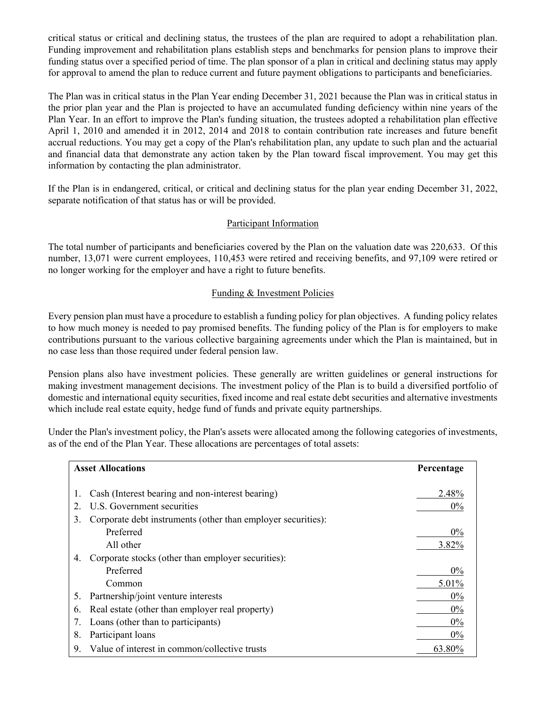critical status or critical and declining status, the trustees of the plan are required to adopt a rehabilitation plan. Funding improvement and rehabilitation plans establish steps and benchmarks for pension plans to improve their funding status over a specified period of time. The plan sponsor of a plan in critical and declining status may apply for approval to amend the plan to reduce current and future payment obligations to participants and beneficiaries.

The Plan was in critical status in the Plan Year ending December 31, 2021 because the Plan was in critical status in the prior plan year and the Plan is projected to have an accumulated funding deficiency within nine years of the Plan Year. In an effort to improve the Plan's funding situation, the trustees adopted a rehabilitation plan effective April 1, 2010 and amended it in 2012, 2014 and 2018 to contain contribution rate increases and future benefit accrual reductions. You may get a copy of the Plan's rehabilitation plan, any update to such plan and the actuarial and financial data that demonstrate any action taken by the Plan toward fiscal improvement. You may get this information by contacting the plan administrator.

If the Plan is in endangered, critical, or critical and declining status for the plan year ending December 31, 2022, separate notification of that status has or will be provided.

## Participant Information

The total number of participants and beneficiaries covered by the Plan on the valuation date was 220,633. Of this number, 13,071 were current employees, 110,453 were retired and receiving benefits, and 97,109 were retired or no longer working for the employer and have a right to future benefits.

## Funding & Investment Policies

Every pension plan must have a procedure to establish a funding policy for plan objectives. A funding policy relates to how much money is needed to pay promised benefits. The funding policy of the Plan is for employers to make contributions pursuant to the various collective bargaining agreements under which the Plan is maintained, but in no case less than those required under federal pension law.

Pension plans also have investment policies. These generally are written guidelines or general instructions for making investment management decisions. The investment policy of the Plan is to build a diversified portfolio of domestic and international equity securities, fixed income and real estate debt securities and alternative investments which include real estate equity, hedge fund of funds and private equity partnerships.

Under the Plan's investment policy, the Plan's assets were allocated among the following categories of investments, as of the end of the Plan Year. These allocations are percentages of total assets:

| <b>Asset Allocations</b> |                                                              | Percentage |
|--------------------------|--------------------------------------------------------------|------------|
|                          |                                                              |            |
|                          | Cash (Interest bearing and non-interest bearing)             | 2.48%      |
|                          | U.S. Government securities                                   | $0\%$      |
| 3.                       | Corporate debt instruments (other than employer securities): |            |
|                          | Preferred                                                    | $0\%$      |
|                          | All other                                                    | 3.82%      |
| 4.                       | Corporate stocks (other than employer securities):           |            |
|                          | Preferred                                                    | $0\%$      |
|                          | Common                                                       | 5.01%      |
| 5.                       | Partnership/joint venture interests                          | 0%         |
| 6.                       | Real estate (other than employer real property)              | $0\%$      |
| 7.                       | Loans (other than to participants)                           | 0%         |
| 8.                       | Participant loans                                            | $0\%$      |
| 9.                       | Value of interest in common/collective trusts                | 63.80%     |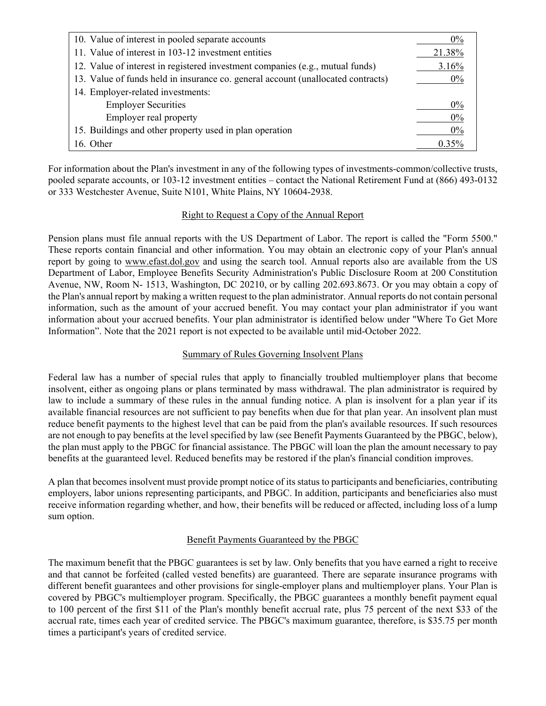| 10. Value of interest in pooled separate accounts                                |          |
|----------------------------------------------------------------------------------|----------|
| 11. Value of interest in 103-12 investment entities                              | 21.38%   |
| 12. Value of interest in registered investment companies (e.g., mutual funds)    | 3.16%    |
| 13. Value of funds held in insurance co. general account (unallocated contracts) | $0\%$    |
| 14. Employer-related investments:                                                |          |
| <b>Employer Securities</b>                                                       | $0\%$    |
| Employer real property                                                           | $0\%$    |
| 15. Buildings and other property used in plan operation                          |          |
| 16. Other                                                                        | $0.35\%$ |

For information about the Plan's investment in any of the following types of investments-common/collective trusts, pooled separate accounts, or 103-12 investment entities – contact the National Retirement Fund at (866) 493-0132 or 333 Westchester Avenue, Suite N101, White Plains, NY 10604-2938.

# Right to Request a Copy of the Annual Report

Pension plans must file annual reports with the US Department of Labor. The report is called the "Form 5500." These reports contain financial and other information. You may obtain an electronic copy of your Plan's annual report by going to www.efast.dol.gov and using the search tool. Annual reports also are available from the US Department of Labor, Employee Benefits Security Administration's Public Disclosure Room at 200 Constitution Avenue, NW, Room N- 1513, Washington, DC 20210, or by calling 202.693.8673. Or you may obtain a copy of the Plan's annual report by making a written request to the plan administrator. Annual reports do not contain personal information, such as the amount of your accrued benefit. You may contact your plan administrator if you want information about your accrued benefits. Your plan administrator is identified below under "Where To Get More Information". Note that the 2021 report is not expected to be available until mid-October 2022.

### Summary of Rules Governing Insolvent Plans

Federal law has a number of special rules that apply to financially troubled multiemployer plans that become insolvent, either as ongoing plans or plans terminated by mass withdrawal. The plan administrator is required by law to include a summary of these rules in the annual funding notice. A plan is insolvent for a plan year if its available financial resources are not sufficient to pay benefits when due for that plan year. An insolvent plan must reduce benefit payments to the highest level that can be paid from the plan's available resources. If such resources are not enough to pay benefits at the level specified by law (see Benefit Payments Guaranteed by the PBGC, below), the plan must apply to the PBGC for financial assistance. The PBGC will loan the plan the amount necessary to pay benefits at the guaranteed level. Reduced benefits may be restored if the plan's financial condition improves.

A plan that becomes insolvent must provide prompt notice of its status to participants and beneficiaries, contributing employers, labor unions representing participants, and PBGC. In addition, participants and beneficiaries also must receive information regarding whether, and how, their benefits will be reduced or affected, including loss of a lump sum option.

# Benefit Payments Guaranteed by the PBGC

The maximum benefit that the PBGC guarantees is set by law. Only benefits that you have earned a right to receive and that cannot be forfeited (called vested benefits) are guaranteed. There are separate insurance programs with different benefit guarantees and other provisions for single-employer plans and multiemployer plans. Your Plan is covered by PBGC's multiemployer program. Specifically, the PBGC guarantees a monthly benefit payment equal to 100 percent of the first \$11 of the Plan's monthly benefit accrual rate, plus 75 percent of the next \$33 of the accrual rate, times each year of credited service. The PBGC's maximum guarantee, therefore, is \$35.75 per month times a participant's years of credited service.